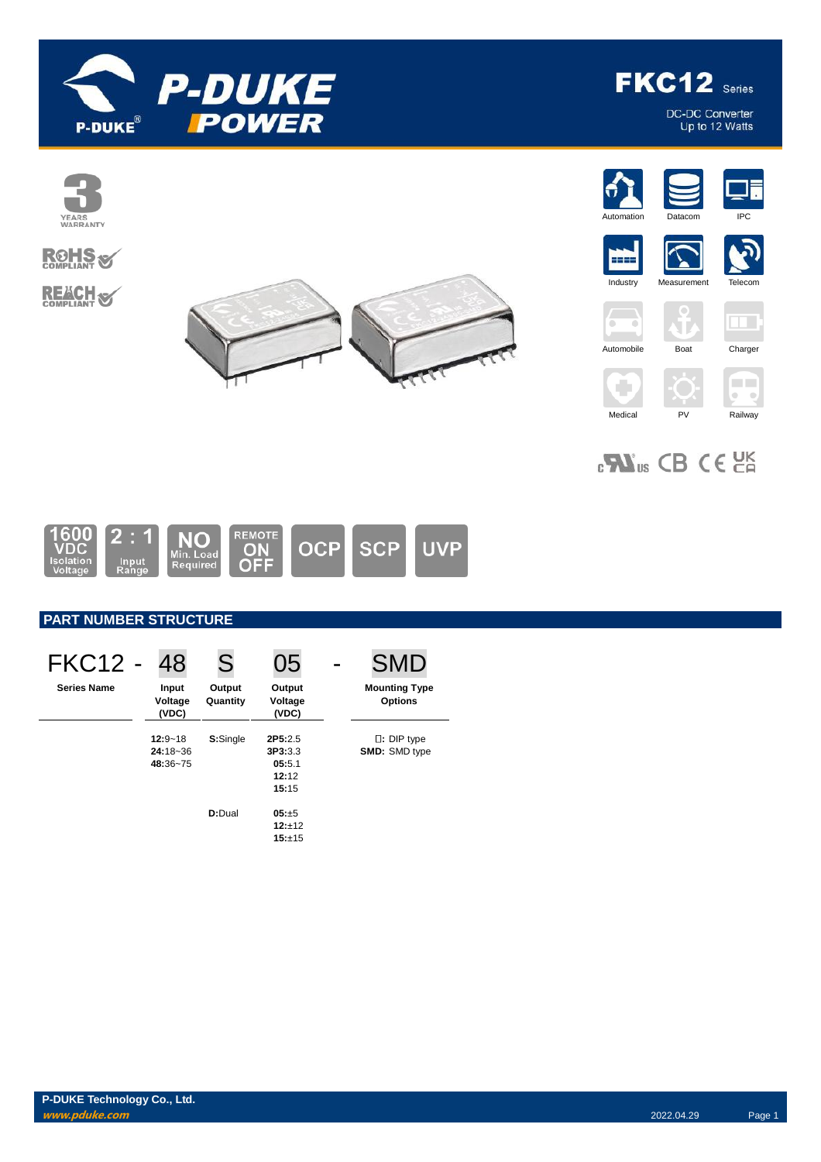



DC-DC Converter<br>Up to 12 Watts



















 $\Box$ 

 $\overline{\mathfrak{o}}$  .  $\overline{\mathfrak{o}}$ 



 $_{c}\mathbf{W}_{us}$  CB CE  $_{c}$ 



# **PART NUMBER STRUCTURE**

| <b>FKC12 -</b>     | 48                                      | S                  | 05                                             | <b>SMD</b>                                   |
|--------------------|-----------------------------------------|--------------------|------------------------------------------------|----------------------------------------------|
| <b>Series Name</b> | Input<br>Voltage<br>(VDC)               | Output<br>Quantity | Output<br>Voltage<br>(VDC)                     | <b>Mounting Type</b><br><b>Options</b>       |
|                    | $12:9 - 18$<br>$24:18 - 36$<br>48:36~75 | S:Single           | 2P5:2.5<br>3P3:3.3<br>05:5.1<br>12:12<br>15:15 | $\square$ : DIP type<br><b>SMD: SMD type</b> |
|                    |                                         | D:Dual             | 05:±5<br>$12:+12$<br>15:±15                    |                                              |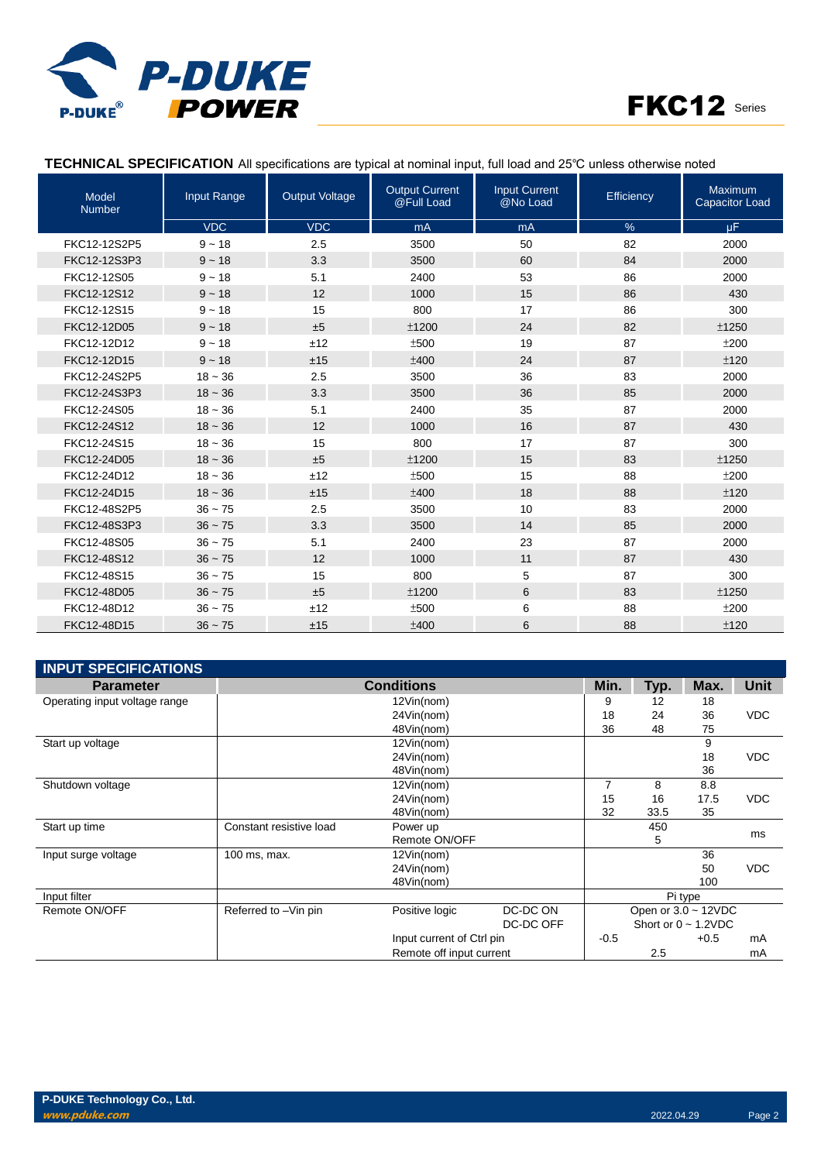



### **TECHNICAL SPECIFICATION** All specifications are typical at nominal input, full load and 25℃ unless otherwise noted

| <b>Model</b><br><b>Number</b> | Input Range | <b>Output Voltage</b> | <b>Output Current</b><br>@Full Load | Input Current<br>@No Load | Efficiency | Maximum<br><b>Capacitor Load</b> |
|-------------------------------|-------------|-----------------------|-------------------------------------|---------------------------|------------|----------------------------------|
|                               | <b>VDC</b>  | <b>VDC</b>            | mA                                  | mA                        | %          | μF.                              |
| FKC12-12S2P5                  | $9 - 18$    | 2.5                   | 3500                                | 50                        | 82         | 2000                             |
| FKC12-12S3P3                  | $9 - 18$    | 3.3                   | 3500                                | 60                        | 84         | 2000                             |
| FKC12-12S05                   | $9 - 18$    | 5.1                   | 2400                                | 53                        | 86         | 2000                             |
| FKC12-12S12                   | $9 - 18$    | 12                    | 1000                                | 15                        | 86         | 430                              |
| FKC12-12S15                   | $9 - 18$    | 15                    | 800                                 | 17                        | 86         | 300                              |
| FKC12-12D05                   | $9 - 18$    | ±5                    | ±1200                               | 24                        | 82         | ±1250                            |
| FKC12-12D12                   | $9 - 18$    | ±12                   | ±500                                | 19                        | 87         | ±200                             |
| FKC12-12D15                   | $9 - 18$    | ±15                   | ±400                                | 24                        | 87         | ±120                             |
| FKC12-24S2P5                  | $18 - 36$   | 2.5                   | 3500                                | 36                        | 83         | 2000                             |
| FKC12-24S3P3                  | $18 - 36$   | 3.3                   | 3500                                | 36                        | 85         | 2000                             |
| FKC12-24S05                   | $18 - 36$   | 5.1                   | 2400                                | 35                        | 87         | 2000                             |
| FKC12-24S12                   | $18 - 36$   | 12                    | 1000                                | 16                        | 87         | 430                              |
| FKC12-24S15                   | $18 - 36$   | 15                    | 800                                 | 17                        | 87         | 300                              |
| FKC12-24D05                   | $18 - 36$   | ±5                    | ±1200                               | 15                        | 83         | ±1250                            |
| FKC12-24D12                   | $18 - 36$   | ±12                   | ±500                                | 15                        | 88         | ±200                             |
| FKC12-24D15                   | $18 - 36$   | ±15                   | ±400                                | 18                        | 88         | ±120                             |
| FKC12-48S2P5                  | $36 - 75$   | 2.5                   | 3500                                | 10                        | 83         | 2000                             |
| FKC12-48S3P3                  | $36 - 75$   | 3.3                   | 3500                                | 14                        | 85         | 2000                             |
| FKC12-48S05                   | $36 - 75$   | 5.1                   | 2400                                | 23                        | 87         | 2000                             |
| FKC12-48S12                   | $36 - 75$   | 12                    | 1000                                | 11                        | 87         | 430                              |
| FKC12-48S15                   | $36 - 75$   | 15                    | 800                                 | 5                         | 87         | 300                              |
| FKC12-48D05                   | $36 - 75$   | ±5                    | ±1200                               | 6                         | 83         | ±1250                            |
| FKC12-48D12                   | $36 - 75$   | ±12                   | ±500                                | 6                         | 88         | ±200                             |
| FKC12-48D15                   | $36 - 75$   | ±15                   | ±400                                | 6                         | 88         | ±120                             |

| <b>INPUT SPECIFICATIONS</b>   |                         |                           |           |        |      |                           |             |
|-------------------------------|-------------------------|---------------------------|-----------|--------|------|---------------------------|-------------|
| <b>Parameter</b>              |                         | <b>Conditions</b>         |           | Min.   | Typ. | Max.                      | <b>Unit</b> |
| Operating input voltage range |                         | 12Vin(nom)                |           | 9      | 12   | 18                        |             |
|                               |                         | 24Vin(nom)                |           | 18     | 24   | 36                        | <b>VDC</b>  |
|                               |                         | 48Vin(nom)                |           | 36     | 48   | 75                        |             |
| Start up voltage              |                         | 12Vin(nom)                |           |        |      | 9                         |             |
|                               |                         | 24Vin(nom)                |           |        |      | 18                        | <b>VDC</b>  |
|                               |                         | 48Vin(nom)                |           |        |      | 36                        |             |
| Shutdown voltage              |                         | 12Vin(nom)                |           | 7      | 8    | 8.8                       |             |
|                               |                         | 24Vin(nom)                |           | 15     | 16   | 17.5                      | <b>VDC</b>  |
|                               |                         | 48Vin(nom)                |           | 32     | 33.5 | 35                        |             |
| Start up time                 | Constant resistive load | Power up                  |           |        | 450  |                           |             |
|                               |                         | Remote ON/OFF             |           |        | 5    |                           | ms          |
| Input surge voltage           | 100 ms, max.            | 12Vin(nom)                |           |        |      | 36                        |             |
|                               |                         | 24Vin(nom)                |           |        |      | 50                        | <b>VDC</b>  |
|                               |                         | 48Vin(nom)                |           |        |      | 100                       |             |
| Input filter                  |                         |                           |           |        |      | Pi type                   |             |
| Remote ON/OFF                 | Referred to -Vin pin    | Positive logic            | DC-DC ON  |        |      | Open or $3.0 \sim 12$ VDC |             |
|                               |                         |                           | DC-DC OFF |        |      | Short or $0 \sim 1.2$ VDC |             |
|                               |                         | Input current of Ctrl pin |           | $-0.5$ |      | $+0.5$                    | mA          |
|                               |                         | Remote off input current  |           |        | 2.5  |                           | mA          |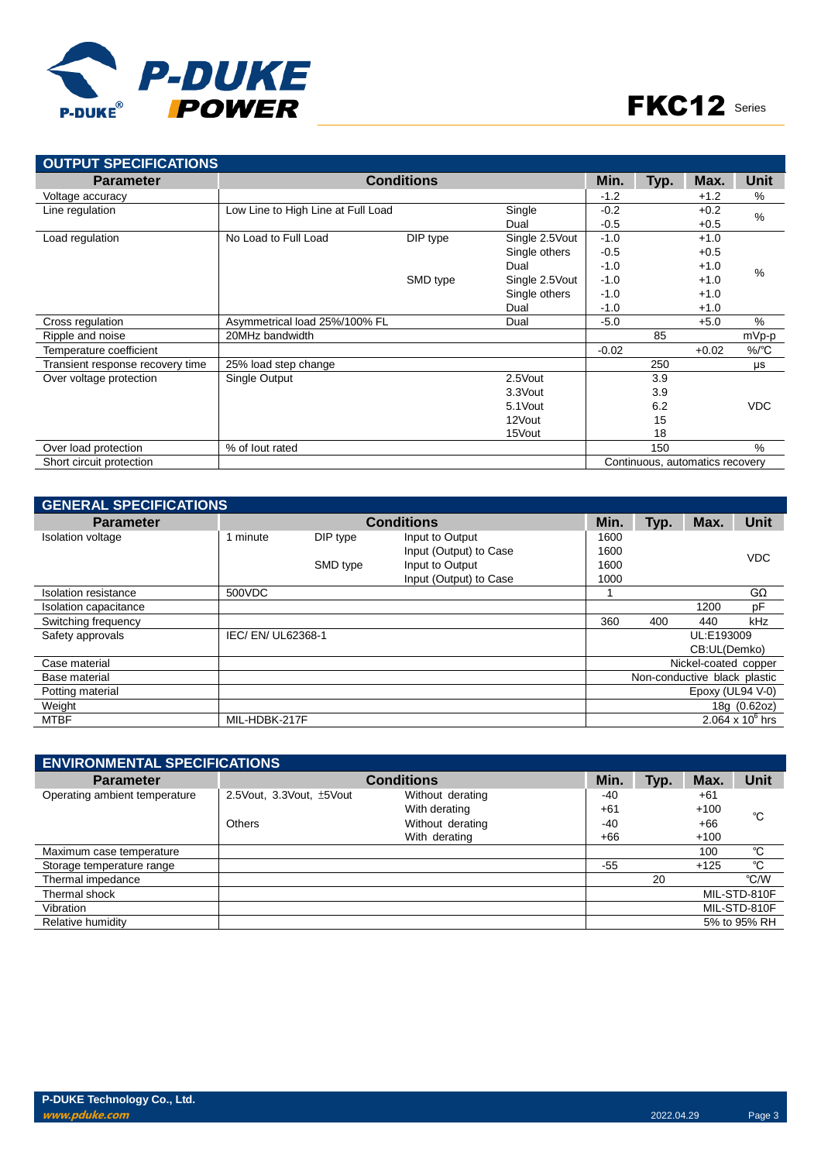

| <b>OUTPUT SPECIFICATIONS</b>     |                                    |                   |                 |         |      |                                 |            |
|----------------------------------|------------------------------------|-------------------|-----------------|---------|------|---------------------------------|------------|
| <b>Parameter</b>                 |                                    | <b>Conditions</b> |                 | Min.    | Typ. | Max.                            | Unit       |
| Voltage accuracy                 |                                    |                   |                 | $-1.2$  |      | $+1.2$                          | $\%$       |
| Line regulation                  | Low Line to High Line at Full Load |                   | Single          | $-0.2$  |      | $+0.2$                          | %          |
|                                  |                                    |                   | Dual            | $-0.5$  |      | $+0.5$                          |            |
| Load regulation                  | No Load to Full Load               | DIP type          | Single 2.5 Vout | $-1.0$  |      | $+1.0$                          |            |
|                                  |                                    |                   | Single others   | $-0.5$  |      | $+0.5$                          |            |
|                                  |                                    |                   | Dual            | $-1.0$  |      | $+1.0$                          | $\%$       |
|                                  |                                    | SMD type          | Single 2.5 Vout | $-1.0$  |      | $+1.0$                          |            |
|                                  |                                    |                   | Single others   | $-1.0$  |      | $+1.0$                          |            |
|                                  |                                    |                   | Dual            | $-1.0$  |      | $+1.0$                          |            |
| Cross regulation                 | Asymmetrical load 25%/100% FL      |                   | Dual            | $-5.0$  |      | $+5.0$                          | %          |
| Ripple and noise                 | 20MHz bandwidth                    |                   |                 |         | 85   |                                 | mVp-p      |
| Temperature coefficient          |                                    |                   |                 | $-0.02$ |      | $+0.02$                         | $\%$ /°C   |
| Transient response recovery time | 25% load step change               |                   |                 |         | 250  |                                 | μs         |
| Over voltage protection          | Single Output                      |                   | 2.5Vout         |         | 3.9  |                                 |            |
|                                  |                                    |                   | 3.3Vout         |         | 3.9  |                                 |            |
|                                  |                                    |                   | 5.1 Vout        |         | 6.2  |                                 | <b>VDC</b> |
|                                  |                                    |                   | 12Vout          |         | 15   |                                 |            |
|                                  |                                    |                   | 15Vout          |         | 18   |                                 |            |
| Over load protection             | % of lout rated                    |                   |                 |         | 150  |                                 | $\%$       |
| Short circuit protection         |                                    |                   |                 |         |      | Continuous, automatics recovery |            |

| <b>GENERAL SPECIFICATIONS</b> |                  |          |                        |                      |                              |              |                         |
|-------------------------------|------------------|----------|------------------------|----------------------|------------------------------|--------------|-------------------------|
| <b>Parameter</b>              |                  |          | <b>Conditions</b>      | Min.                 | Typ.                         | Max.         | Unit                    |
| <b>Isolation voltage</b>      | minute           | DIP type | Input to Output        | 1600                 |                              |              |                         |
|                               |                  |          | Input (Output) to Case | 1600                 |                              |              | <b>VDC</b>              |
|                               |                  | SMD type | Input to Output        | 1600                 |                              |              |                         |
|                               |                  |          | Input (Output) to Case | 1000                 |                              |              |                         |
| Isolation resistance          | 500VDC           |          |                        |                      |                              |              | $G\Omega$               |
| Isolation capacitance         |                  |          |                        |                      |                              | 1200         | pF                      |
| Switching frequency           |                  |          |                        | 360                  | 400                          | 440          | kHz                     |
| Safety approvals              | IEC/EN/UL62368-1 |          |                        |                      |                              | UL:E193009   |                         |
|                               |                  |          |                        |                      |                              | CB:UL(Demko) |                         |
| Case material                 |                  |          |                        | Nickel-coated copper |                              |              |                         |
| Base material                 |                  |          |                        |                      | Non-conductive black plastic |              |                         |
| Potting material              |                  |          |                        |                      | Epoxy (UL94 V-0)             |              |                         |
| Weight                        |                  |          |                        |                      |                              |              | 18g (0.62oz)            |
| <b>MTBF</b>                   | MIL-HDBK-217F    |          |                        |                      |                              |              | $2.064 \times 10^6$ hrs |

| <b>ENVIRONMENTAL SPECIFICATIONS</b> |                             |                   |       |      |        |              |  |
|-------------------------------------|-----------------------------|-------------------|-------|------|--------|--------------|--|
| <b>Parameter</b>                    |                             | <b>Conditions</b> | Min.  | Typ. | Max.   | <b>Unit</b>  |  |
| Operating ambient temperature       | 2.5 Vout, 3.3 Vout, ±5 Vout | Without derating  | -40   |      | $+61$  |              |  |
|                                     |                             | With derating     | $+61$ |      | $+100$ | °C           |  |
|                                     | <b>Others</b>               | Without derating  | -40   |      | +66    |              |  |
|                                     |                             | With derating     | $+66$ |      | $+100$ |              |  |
| Maximum case temperature            |                             |                   |       |      | 100    | °C           |  |
| Storage temperature range           |                             |                   | $-55$ |      | $+125$ | °C           |  |
| Thermal impedance                   |                             |                   |       | 20   |        | °C/W         |  |
| Thermal shock                       |                             |                   |       |      |        | MIL-STD-810F |  |
| Vibration                           |                             |                   |       |      |        | MIL-STD-810F |  |
| Relative humidity                   |                             |                   |       |      |        | 5% to 95% RH |  |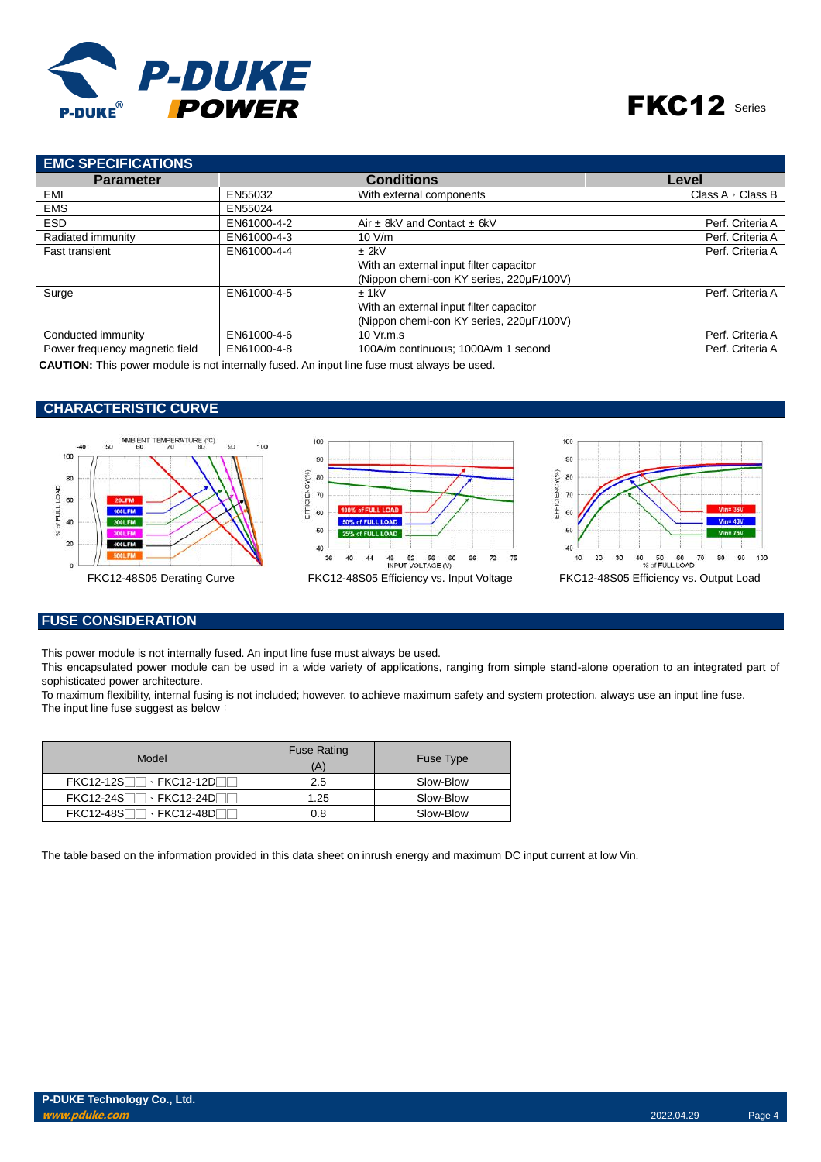

# FKC12 Series

| <b>EMC SPECIFICATIONS</b>      |             |                                          |                         |
|--------------------------------|-------------|------------------------------------------|-------------------------|
| <b>Parameter</b>               |             | <b>Conditions</b>                        | Level                   |
| EMI                            | EN55032     | With external components                 | Class A $\cdot$ Class B |
| <b>EMS</b>                     | EN55024     |                                          |                         |
| <b>ESD</b>                     | EN61000-4-2 | Air $\pm$ 8kV and Contact $\pm$ 6kV      | Perf. Criteria A        |
| Radiated immunity              | EN61000-4-3 | 10 V/m                                   | Perf. Criteria A        |
| <b>Fast transient</b>          | EN61000-4-4 | $±$ 2kV                                  | Perf. Criteria A        |
|                                |             | With an external input filter capacitor  |                         |
|                                |             | (Nippon chemi-con KY series, 220µF/100V) |                         |
| Surge                          | EN61000-4-5 | $±$ 1kV                                  | Perf. Criteria A        |
|                                |             | With an external input filter capacitor  |                         |
|                                |             | (Nippon chemi-con KY series, 220µF/100V) |                         |
| Conducted immunity             | EN61000-4-6 | 10 Vr.m.s                                | Perf. Criteria A        |
| Power frequency magnetic field | EN61000-4-8 | 100A/m continuous: 1000A/m 1 second      | Perf. Criteria A        |

**CAUTION:** This power module is not internally fused. An input line fuse must always be used.

## **CHARACTERISTIC CURVE**



# **FUSE CONSIDERATION**

This power module is not internally fused. An input line fuse must always be used.

This encapsulated power module can be used in a wide variety of applications, ranging from simple stand-alone operation to an integrated part of sophisticated power architecture.

To maximum flexibility, internal fusing is not included; however, to achieve maximum safety and system protection, always use an input line fuse. The input line fuse suggest as below:

| Model | <b>Fuse Rating</b><br>(A) | <b>Fuse Type</b> |
|-------|---------------------------|------------------|
|       | 2.5                       | Slow-Blow        |
|       | 1.25                      | Slow-Blow        |
|       | 0.8                       | Slow-Blow        |

The table based on the information provided in this data sheet on inrush energy and maximum DC input current at low Vin.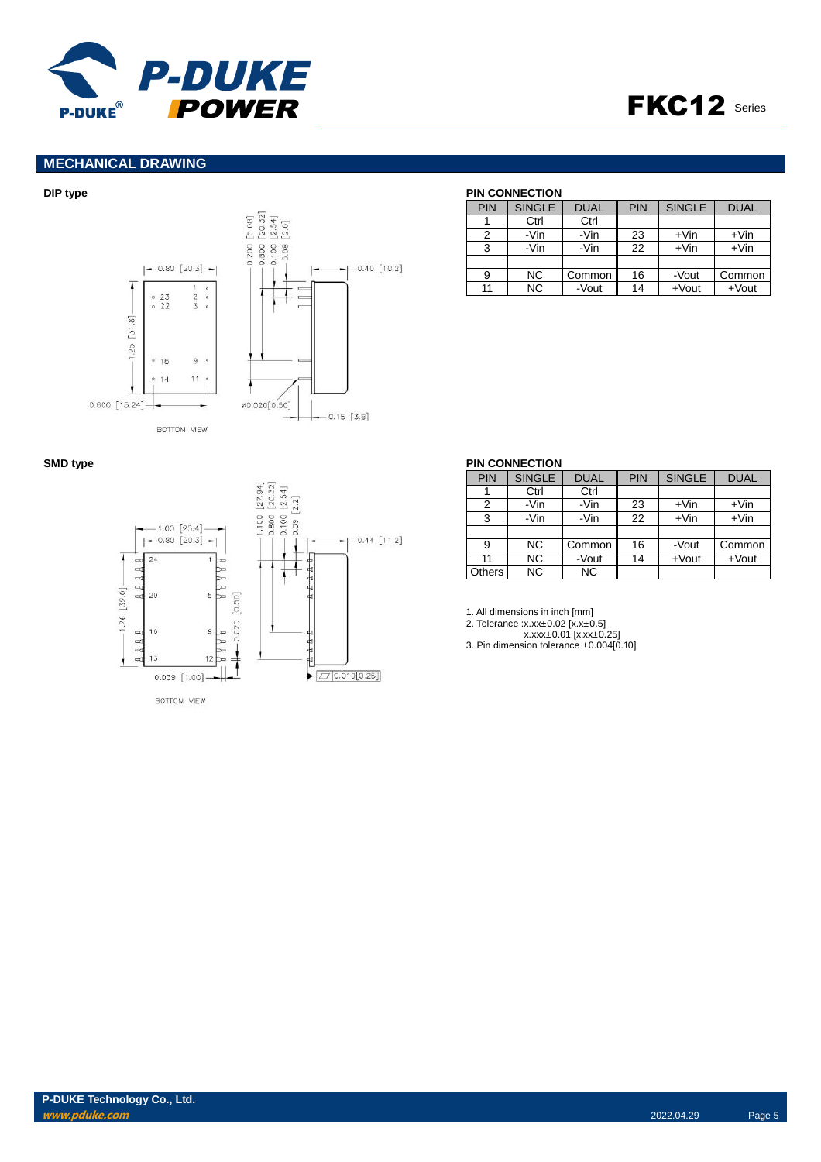



# **MECHANICAL DRAWING**



#### **DIP type PIN CONNECTION**

| PIN | <b>SINGLE</b> | <b>DUAL</b> | <b>PIN</b> | <b>SINGLE</b> | <b>DUAL</b> |
|-----|---------------|-------------|------------|---------------|-------------|
|     | Ctrl          | Ctrl        |            |               |             |
| 2   | -Vin          | -Vin        | 23         | $+V$ in       | $+V$ in     |
| 3   | -Vin          | -Vin        | 22         | $+V$ in       | $+V$ in     |
|     |               |             |            |               |             |
| 9   | <b>NC</b>     | Common      | 16         | -Vout         | Common      |
| 11  | NC.           | -Vout       | 14         | $+$ Vout      | $+$ Vout    |

| $-1.00$ [25.4]           |                            | $[27.94]$<br>$[20.32]$<br>$-1.100$ [27.94]<br>$-0.800$ [20.32]<br>$-0.100$ [2.54]<br>$-0.09$ [2.2] |               |
|--------------------------|----------------------------|----------------------------------------------------------------------------------------------------|---------------|
| $-0.80$ [20.3] $-$<br>24 |                            |                                                                                                    | $0.44$ [11.2] |
| A A A A                  | Þ<br>ь<br>$\mathbb{D}$     |                                                                                                    |               |
| $1.26$ [32.0]<br>20      | Þ<br>5<br>ы                |                                                                                                    |               |
| 16                       | 0.020 [0.50]<br>9<br>া≂    |                                                                                                    |               |
| A A A A<br>13            | D<br>$12$ $\triangleright$ |                                                                                                    |               |
| $0.039$ [1.00] -         |                            |                                                                                                    | 0.010[0.25]   |
| BOTTOM VIEW              |                            |                                                                                                    |               |

### **SMD type PIN CONNECTION** PIN SINGLE DUAL PIN SINGLE DUAL<br>1 Ctrl Ctrl 1 Ctrl Ctrl<br>2 - Vin - Vin 2 | -Vin | -Vin | 23 | +Vin | +Vin 3 -Vin -Vin 22 +Vin +Vin 9 NC Common 16 -Vout Common<br>11 NC -Vout 14 +Vout +Vout NC -Vout 14 +Vout<br>NC NC Others

1. All dimensions in inch [mm]

2. Tolerance :x.xx±0.02 [x.x±0.5]

x.xxx±0.01 [x.xx±0.25] 3. Pin dimension tolerance ±0.004[0.10]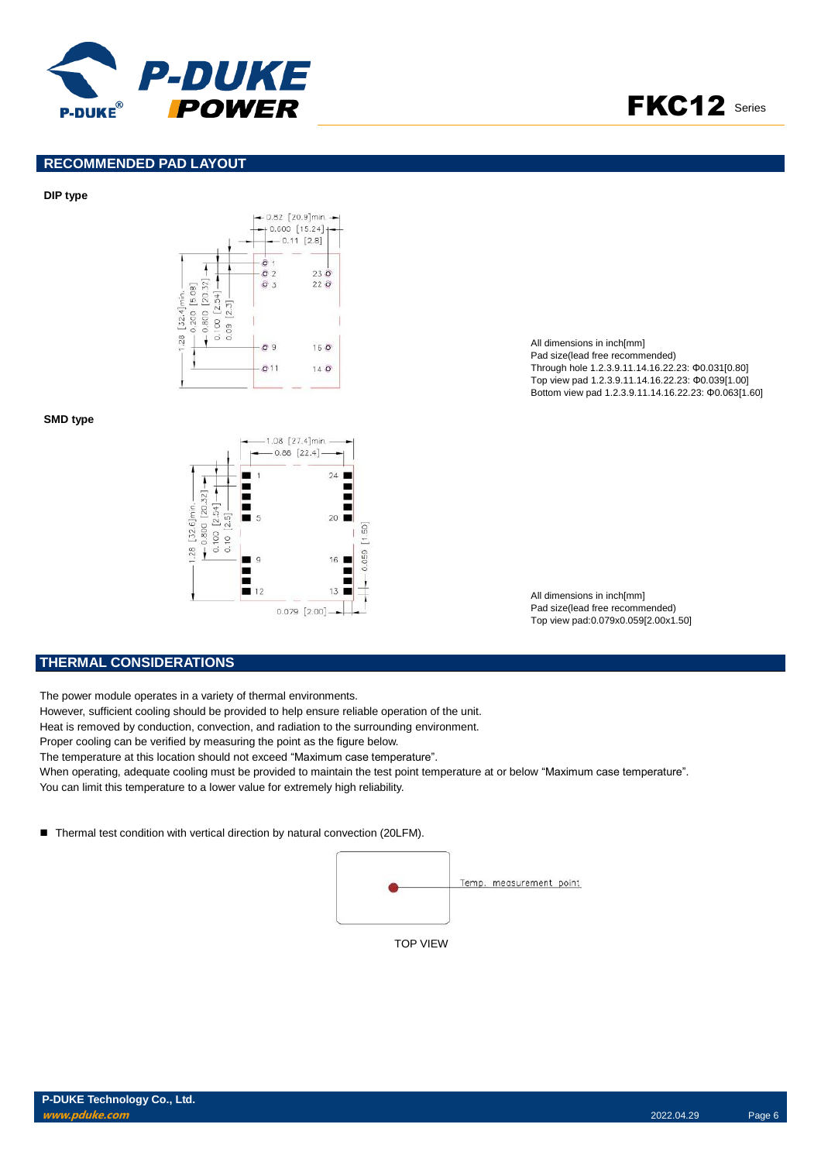



# **RECOMMENDED PAD LAYOUT**

#### **DIP type**



**SMD type**



All dimensions in inch[mm] Pad size(lead free recommended) Through hole 1.2.3.9.11.14.16.22.23: Φ0.031[0.80] Top view pad 1.2.3.9.11.14.16.22.23: Φ0.039[1.00] Bottom view pad 1.2.3.9.11.14.16.22.23: Φ0.063[1.60]

All dimensions in inch[mm] Pad size(lead free recommended) Top view pad:0.079x0.059[2.00x1.50]

### **THERMAL CONSIDERATIONS**

The power module operates in a variety of thermal environments.

However, sufficient cooling should be provided to help ensure reliable operation of the unit.

Heat is removed by conduction, convection, and radiation to the surrounding environment.

Proper cooling can be verified by measuring the point as the figure below.

The temperature at this location should not exceed "Maximum case temperature".

When operating, adequate cooling must be provided to maintain the test point temperature at or below "Maximum case temperature". You can limit this temperature to a lower value for extremely high reliability.

■ Thermal test condition with vertical direction by natural convection (20LFM).